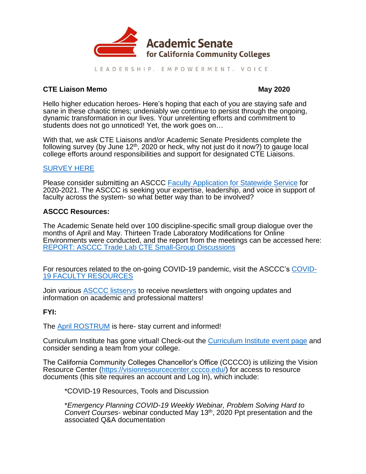

LEADERSHIP. EMPOWERMENT. VOICE.

# **CTE Liaison Memo May 2020**

Hello higher education heroes- Here's hoping that each of you are staying safe and sane in these chaotic times; undeniably we continue to persist through the ongoing, dynamic transformation in our lives. Your unrelenting efforts and commitment to students does not go unnoticed! Yet, the work goes on...

With that, we ask CTE Liaisons and/or Academic Senate Presidents complete the following survey (by June  $12<sup>th</sup>$ , 2020 or heck, why not just do it now?) to gauge local college efforts around responsibilities and support for designated CTE Liaisons.

# [SURVEY HERE](https://www.surveymonkey.com/r/CTE_Liaison_2020)

Please consider submitting an ASCCC [Faculty Application for Statewide Service](https://asccc.org/content/faculty-application-statewide-service) for 2020-2021. The ASCCC is seeking your expertise, leadership, and voice in support of faculty across the system- so what better way than to be involved?

# **ASCCC Resources:**

The Academic Senate held over 100 discipline-specific small group dialogue over the months of April and May. Thirteen Trade Laboratory Modifications for Online Environments were conducted, and the report from the meetings can be accessed here: [REPORT: ASCCC Trade Lab CTE Small-Group Discussions](https://www.asccc.org/sites/default/files/REPORT%20ASCCC%20Trade%20Lab%20CTE%20Webinars_0.pdf)

For resources related to the on-going COVID-19 pandemic, visit the ASCCC's [COVID-](https://www.asccc.org/covid-19-faculty-resources)[19 FACULTY RESOURCES](https://www.asccc.org/covid-19-faculty-resources)

Join various [ASCCC listservs](https://www.asccc.org/signup-newsletters) to receive newsletters with ongoing updates and information on academic and professional matters!

# **FYI:**

The [April ROSTRUM](https://www.asccc.org/publications/rostrum) is here- stay current and informed!

Curriculum Institute has gone virtual! Check-out the [Curriculum Institute event page](https://asccc.org/events/2020-07-07-150000-2020-07-10-230000/2020-curriculum-institute-virtual-conference) and consider sending a team from your college.

The California Community Colleges Chancellor's Office (CCCCO) is utilizing the Vision Resource Center [\(https://visionresourcecenter.cccco.edu/\)](https://visionresourcecenter.cccco.edu/) for access to resource documents (this site requires an account and Log In), which include:

\*COVID-19 Resources, Tools and Discussion

\**Emergency Planning COVID-19 Weekly Webinar, Problem Solving Hard to Convert Courses*- webinar conducted May 13th, 2020 Ppt presentation and the associated Q&A documentation